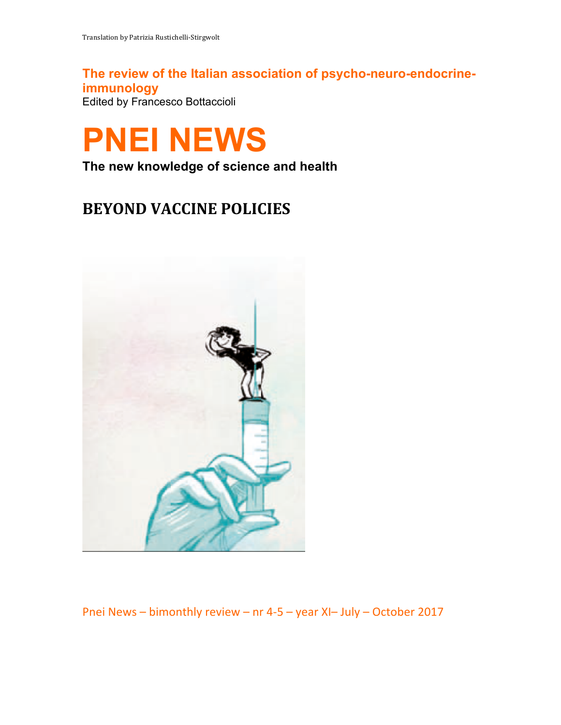**The review of the Italian association of psycho-neuro-endocrineimmunology** Edited by Francesco Bottaccioli



**The new knowledge of science and health**

# **BEYOND VACCINE POLICIES**



Pnei News – bimonthly review – nr 4-5 – year XI– July – October 2017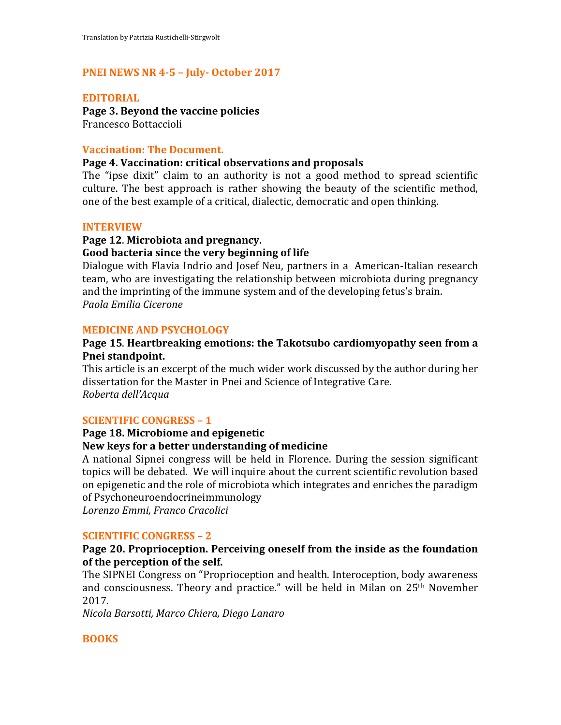# **PNEI NEWS NR 4-5 – July- October 2017**

#### **EDITORIAL**

**Page 3. Beyond the vaccine policies** Francesco Bottaccioli

#### **Vaccination: The Document.**

#### Page 4. Vaccination: critical observations and proposals

The "ipse dixit" claim to an authority is not a good method to spread scientific culture. The best approach is rather showing the beauty of the scientific method, one of the best example of a critical, dialectic, democratic and open thinking.

#### **INTERVIEW**

# **Page 12**. **Microbiota and pregnancy.**

#### Good bacteria since the very beginning of life

Dialogue with Flavia Indrio and Josef Neu, partners in a American-Italian research team, who are investigating the relationship between microbiota during pregnancy and the imprinting of the immune system and of the developing fetus's brain. *Paola Emilia Cicerone*

#### **MEDICINE AND PSYCHOLOGY**

#### Page 15. Heartbreaking emotions: the Takotsubo cardiomyopathy seen from a Pnei standpoint.

This article is an excerpt of the much wider work discussed by the author during her dissertation for the Master in Pnei and Science of Integrative Care. *Roberta dell'Acqua*

#### **SCIENTIFIC CONGRESS - 1**

# Page 18. Microbiome and epigenetic

#### **New keys for a better understanding of medicine**

A national Sipnei congress will be held in Florence. During the session significant topics will be debated. We will inquire about the current scientific revolution based on epigenetic and the role of microbiota which integrates and enriches the paradigm of Psychoneuroendocrineimmunology

*Lorenzo Emmi, Franco Cracolici*

#### **SCIENTIFIC CONGRESS - 2**

### **Page 20. Proprioception. Perceiving oneself from the inside as the foundation** of the perception of the self.

The SIPNEI Congress on "Proprioception and health. Interoception, body awareness and consciousness. Theory and practice." will be held in Milan on  $25<sup>th</sup>$  November 2017.

*Nicola Barsotti, Marco Chiera, Diego Lanaro*

#### **BOOKS**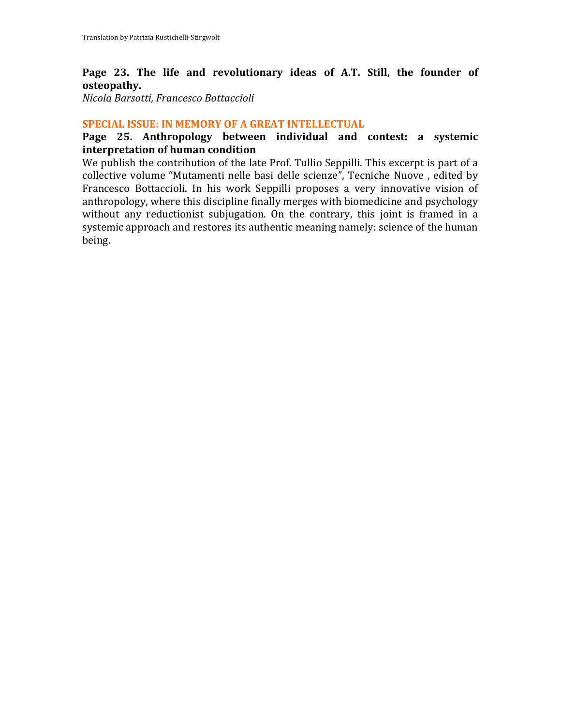# Page 23. The life and revolutionary ideas of A.T. Still, the founder of **osteopathy.**

*Nicola Barsotti, Francesco Bottaccioli*

# **SPECIAL ISSUE: IN MEMORY OF A GREAT INTELLECTUAL**

# Page 25. Anthropology between individual and contest: a systemic **interpretation of human condition**

We publish the contribution of the late Prof. Tullio Seppilli. This excerpt is part of a collective volume "Mutamenti nelle basi delle scienze", Tecniche Nuove, edited by Francesco Bottaccioli. In his work Seppilli proposes a very innovative vision of anthropology, where this discipline finally merges with biomedicine and psychology without any reductionist subjugation. On the contrary, this joint is framed in a systemic approach and restores its authentic meaning namely: science of the human being.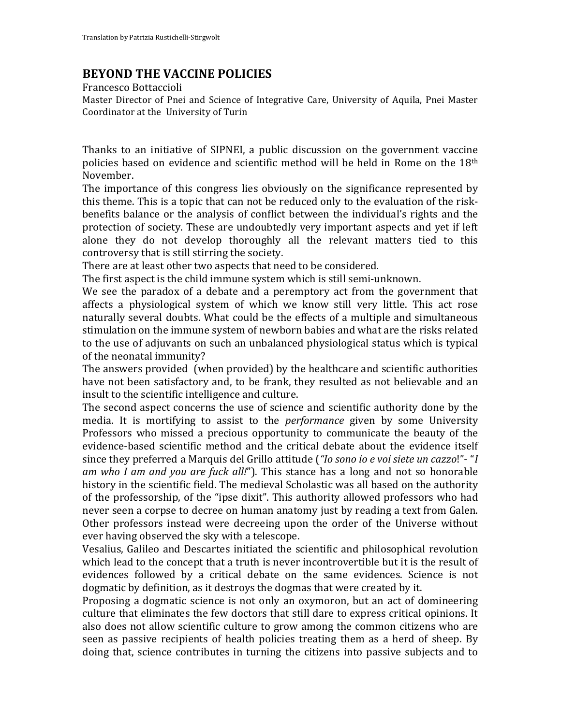# **BEYOND THE VACCINE POLICIES**

Francesco Bottaccioli

Master Director of Pnei and Science of Integrative Care, University of Aquila, Pnei Master Coordinator at the University of Turin

Thanks to an initiative of SIPNEI, a public discussion on the government vaccine policies based on evidence and scientific method will be held in Rome on the 18<sup>th</sup> November.

The importance of this congress lies obviously on the significance represented by this theme. This is a topic that can not be reduced only to the evaluation of the riskbenefits balance or the analysis of conflict between the individual's rights and the protection of society. These are undoubtedly very important aspects and yet if left alone they do not develop thoroughly all the relevant matters tied to this controversy that is still stirring the society.

There are at least other two aspects that need to be considered.

The first aspect is the child immune system which is still semi-unknown.

We see the paradox of a debate and a peremptory act from the government that affects a physiological system of which we know still very little. This act rose naturally several doubts. What could be the effects of a multiple and simultaneous stimulation on the immune system of newborn babies and what are the risks related to the use of adjuvants on such an unbalanced physiological status which is typical of the neonatal immunity?

The answers provided (when provided) by the healthcare and scientific authorities have not been satisfactory and, to be frank, they resulted as not believable and an insult to the scientific intelligence and culture.

The second aspect concerns the use of science and scientific authority done by the media. It is mortifying to assist to the *performance* given by some University Professors who missed a precious opportunity to communicate the beauty of the evidence-based scientific method and the critical debate about the evidence itself since they preferred a Marquis del Grillo attitude ("*Io sono io e voi siete un cazzo!"*- "*I am* who I am and you are fuck all!"). This stance has a long and not so honorable history in the scientific field. The medieval Scholastic was all based on the authority of the professorship, of the "ipse dixit". This authority allowed professors who had never seen a corpse to decree on human anatomy just by reading a text from Galen. Other professors instead were decreeing upon the order of the Universe without ever having observed the sky with a telescope.

Vesalius, Galileo and Descartes initiated the scientific and philosophical revolution which lead to the concept that a truth is never incontrovertible but it is the result of evidences followed by a critical debate on the same evidences. Science is not dogmatic by definition, as it destroys the dogmas that were created by it.

Proposing a dogmatic science is not only an oxymoron, but an act of domineering culture that eliminates the few doctors that still dare to express critical opinions. It also does not allow scientific culture to grow among the common citizens who are seen as passive recipients of health policies treating them as a herd of sheep. By doing that, science contributes in turning the citizens into passive subjects and to